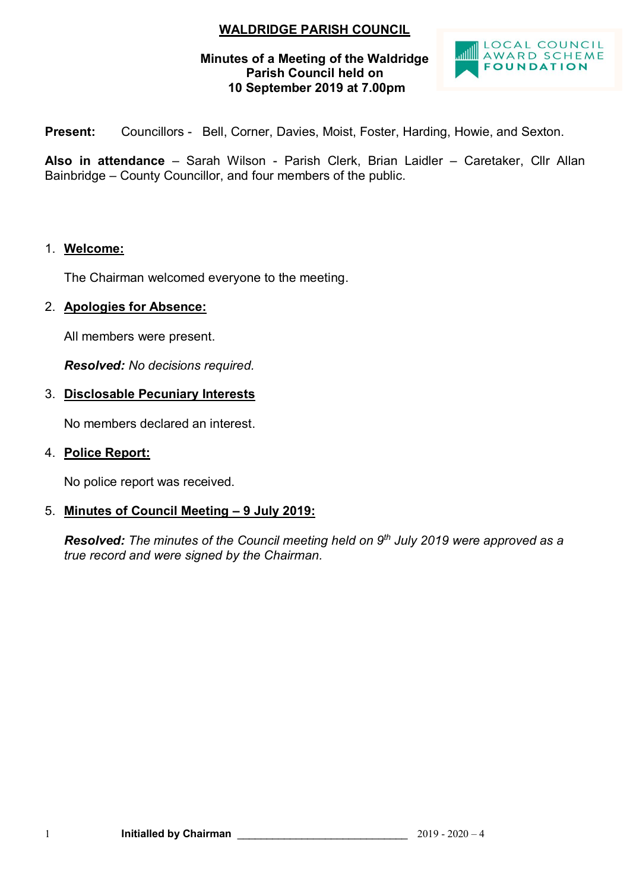## **WALDRIDGE PARISH COUNCIL**

### **Minutes of a Meeting of the Waldridge Parish Council held on 10 September 2019 at 7.00pm**



**Present:** Councillors - Bell, Corner, Davies, Moist, Foster, Harding, Howie, and Sexton.

**Also in attendance** – Sarah Wilson - Parish Clerk, Brian Laidler – Caretaker, Cllr Allan Bainbridge – County Councillor, and four members of the public.

### 1. **Welcome:**

The Chairman welcomed everyone to the meeting.

### 2. **Apologies for Absence:**

All members were present.

*Resolved: No decisions required.*

### 3. **Disclosable Pecuniary Interests**

No members declared an interest.

### 4. **Police Report:**

No police report was received.

### 5. **Minutes of Council Meeting – 9 July 2019:**

*Resolved: The minutes of the Council meeting held on 9 th July 2019 were approved as a true record and were signed by the Chairman.*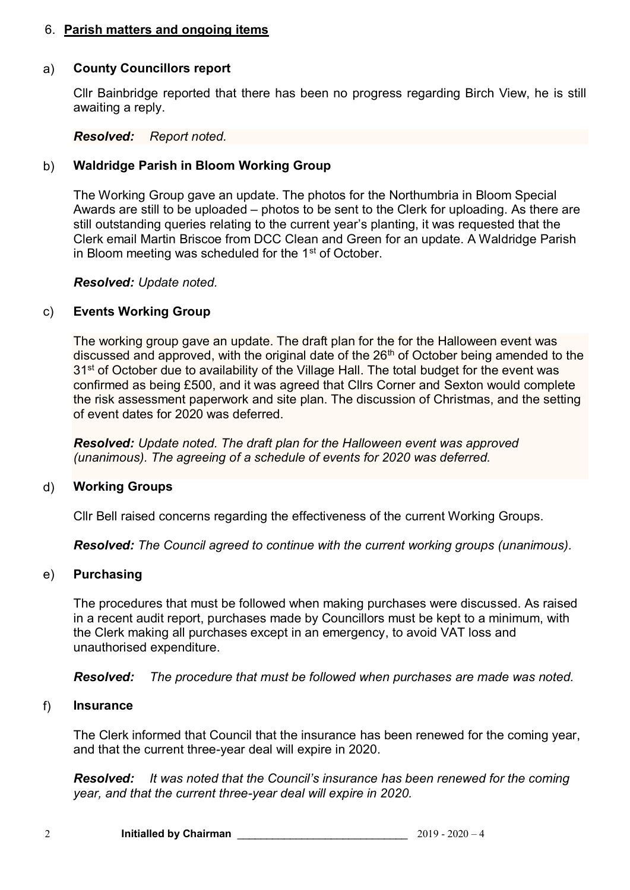### 6. **Parish matters and ongoing items**

### a) **County Councillors report**

Cllr Bainbridge reported that there has been no progress regarding Birch View, he is still awaiting a reply.

#### *Resolved: Report noted.*

### b) **Waldridge Parish in Bloom Working Group**

The Working Group gave an update. The photos for the Northumbria in Bloom Special Awards are still to be uploaded – photos to be sent to the Clerk for uploading. As there are still outstanding queries relating to the current year's planting, it was requested that the Clerk email Martin Briscoe from DCC Clean and Green for an update. A Waldridge Parish in Bloom meeting was scheduled for the  $1<sup>st</sup>$  of October.

### *Resolved: Update noted.*

### c) **Events Working Group**

The working group gave an update. The draft plan for the for the Halloween event was discussed and approved, with the original date of the  $26<sup>th</sup>$  of October being amended to the 31<sup>st</sup> of October due to availability of the Village Hall. The total budget for the event was confirmed as being £500, and it was agreed that Cllrs Corner and Sexton would complete the risk assessment paperwork and site plan. The discussion of Christmas, and the setting of event dates for 2020 was deferred.

*Resolved: Update noted. The draft plan for the Halloween event was approved (unanimous). The agreeing of a schedule of events for 2020 was deferred.*

### d) **Working Groups**

Cllr Bell raised concerns regarding the effectiveness of the current Working Groups.

*Resolved: The Council agreed to continue with the current working groups (unanimous).*

### e) **Purchasing**

The procedures that must be followed when making purchases were discussed. As raised in a recent audit report, purchases made by Councillors must be kept to a minimum, with the Clerk making all purchases except in an emergency, to avoid VAT loss and unauthorised expenditure.

*Resolved: The procedure that must be followed when purchases are made was noted.*

### f) **Insurance**

The Clerk informed that Council that the insurance has been renewed for the coming year, and that the current three-year deal will expire in 2020.

*Resolved: It was noted that the Council's insurance has been renewed for the coming year, and that the current three-year deal will expire in 2020.*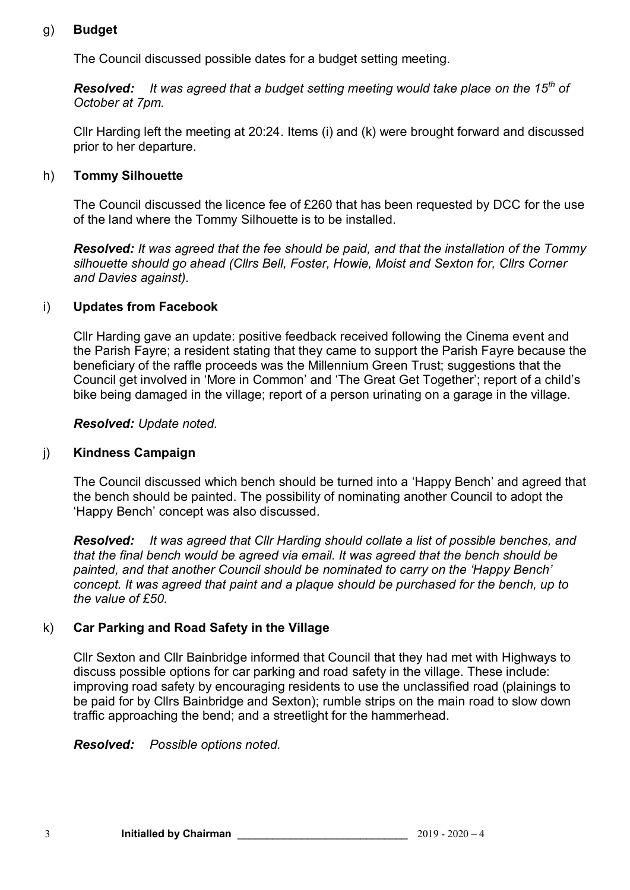## g) **Budget**

The Council discussed possible dates for a budget setting meeting.

*Resolved: It was agreed that a budget setting meeting would take place on the 15th of October at 7pm.*

Cllr Harding left the meeting at 20:24. Items (i) and (k) were brought forward and discussed prior to her departure.

## h) **Tommy Silhouette**

The Council discussed the licence fee of £260 that has been requested by DCC for the use of the land where the Tommy Silhouette is to be installed.

*Resolved: It was agreed that the fee should be paid, and that the installation of the Tommy silhouette should go ahead (Cllrs Bell, Foster, Howie, Moist and Sexton for, Cllrs Corner and Davies against).*

## i) **Updates from Facebook**

Cllr Harding gave an update: positive feedback received following the Cinema event and the Parish Fayre; a resident stating that they came to support the Parish Fayre because the beneficiary of the raffle proceeds was the Millennium Green Trust; suggestions that the Council get involved in 'More in Common' and 'The Great Get Together'; report of a child's bike being damaged in the village; report of a person urinating on a garage in the village.

### *Resolved: Update noted.*

### j) **Kindness Campaign**

The Council discussed which bench should be turned into a 'Happy Bench' and agreed that the bench should be painted. The possibility of nominating another Council to adopt the 'Happy Bench' concept was also discussed.

*Resolved: It was agreed that Cllr Harding should collate a list of possible benches, and that the final bench would be agreed via email. It was agreed that the bench should be painted, and that another Council should be nominated to carry on the 'Happy Bench' concept. It was agreed that paint and a plaque should be purchased for the bench, up to the value of £50.*

## k) **Car Parking and Road Safety in the Village**

Cllr Sexton and Cllr Bainbridge informed that Council that they had met with Highways to discuss possible options for car parking and road safety in the village. These include: improving road safety by encouraging residents to use the unclassified road (plainings to be paid for by Cllrs Bainbridge and Sexton); rumble strips on the main road to slow down traffic approaching the bend; and a streetlight for the hammerhead.

*Resolved: Possible options noted.*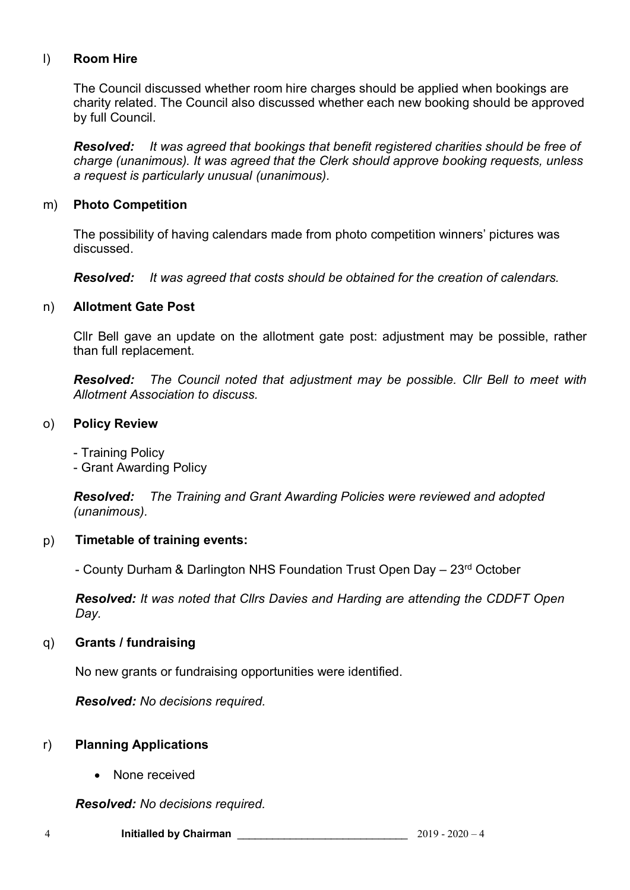## l) **Room Hire**

The Council discussed whether room hire charges should be applied when bookings are charity related. The Council also discussed whether each new booking should be approved by full Council.

*Resolved: It was agreed that bookings that benefit registered charities should be free of charge (unanimous). It was agreed that the Clerk should approve booking requests, unless a request is particularly unusual (unanimous).*

### m) **Photo Competition**

The possibility of having calendars made from photo competition winners' pictures was discussed.

*Resolved: It was agreed that costs should be obtained for the creation of calendars.*

#### n) **Allotment Gate Post**

Cllr Bell gave an update on the allotment gate post: adjustment may be possible, rather than full replacement.

*Resolved: The Council noted that adjustment may be possible. Cllr Bell to meet with Allotment Association to discuss.*

#### o) **Policy Review**

- Training Policy

- Grant Awarding Policy

*Resolved: The Training and Grant Awarding Policies were reviewed and adopted (unanimous).*

#### p) **Timetable of training events:**

- County Durham & Darlington NHS Foundation Trust Open Day – 23rd October

*Resolved: It was noted that Cllrs Davies and Harding are attending the CDDFT Open Day.*

#### q) **Grants / fundraising**

No new grants or fundraising opportunities were identified.

*Resolved: No decisions required.*

#### r) **Planning Applications**

• None received

*Resolved: No decisions required.*

4 **Initialled by Chairman** \_\_\_\_\_\_\_\_\_\_\_\_\_\_\_\_\_\_\_\_\_\_\_\_\_\_\_\_\_ 2019 - 2020 – 4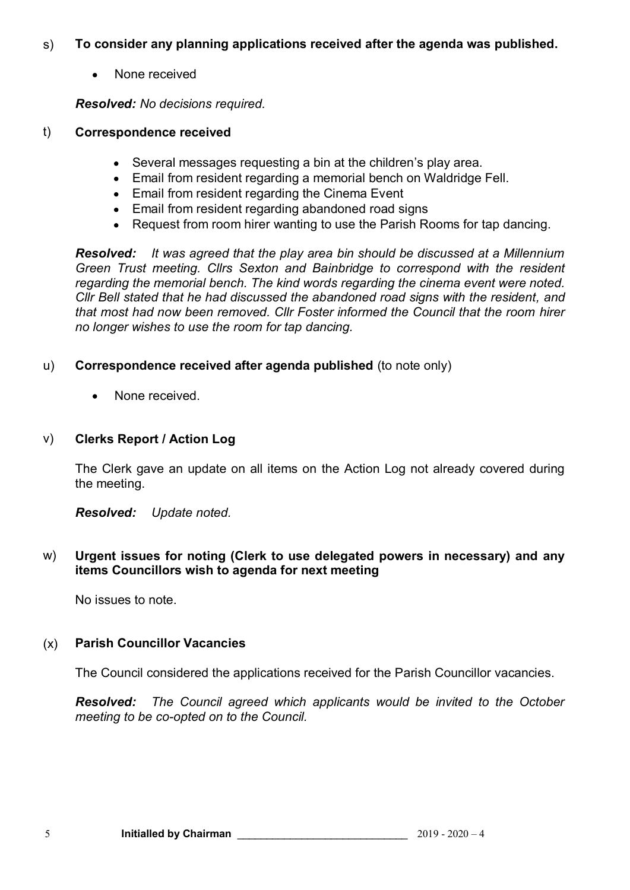#### s) **To consider any planning applications received after the agenda was published.**

None received

*Resolved: No decisions required.*

#### t) **Correspondence received**

- Several messages requesting a bin at the children's play area.
- Email from resident regarding a memorial bench on Waldridge Fell.
- Email from resident regarding the Cinema Event
- Email from resident regarding abandoned road signs
- Request from room hirer wanting to use the Parish Rooms for tap dancing.

*Resolved: It was agreed that the play area bin should be discussed at a Millennium Green Trust meeting. Cllrs Sexton and Bainbridge to correspond with the resident regarding the memorial bench. The kind words regarding the cinema event were noted. Cllr Bell stated that he had discussed the abandoned road signs with the resident, and that most had now been removed. Cllr Foster informed the Council that the room hirer no longer wishes to use the room for tap dancing.*

#### u) **Correspondence received after agenda published** (to note only)

None received.  $\bullet$ 

#### v) **Clerks Report / Action Log**

The Clerk gave an update on all items on the Action Log not already covered during the meeting.

*Resolved: Update noted.*

w) **Urgent issues for noting (Clerk to use delegated powers in necessary) and any items Councillors wish to agenda for next meeting**

No issues to note.

## (x) **Parish Councillor Vacancies**

The Council considered the applications received for the Parish Councillor vacancies.

*Resolved: The Council agreed which applicants would be invited to the October meeting to be co-opted on to the Council.*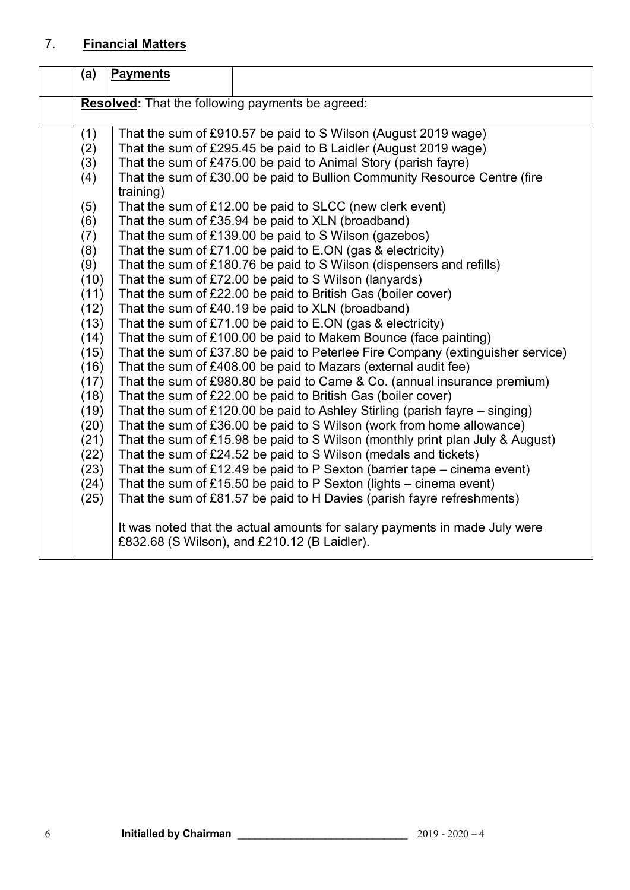# 7. **Financial Matters**

| (a)  | <b>Payments</b>                                                                                                            |  |
|------|----------------------------------------------------------------------------------------------------------------------------|--|
|      | <b>Resolved:</b> That the following payments be agreed:                                                                    |  |
|      |                                                                                                                            |  |
| (1)  | That the sum of £910.57 be paid to S Wilson (August 2019 wage)                                                             |  |
| (2)  | That the sum of £295.45 be paid to B Laidler (August 2019 wage)                                                            |  |
| (3)  | That the sum of £475.00 be paid to Animal Story (parish fayre)                                                             |  |
| (4)  | That the sum of £30.00 be paid to Bullion Community Resource Centre (fire<br>training)                                     |  |
| (5)  | That the sum of £12.00 be paid to SLCC (new clerk event)                                                                   |  |
| (6)  | That the sum of £35.94 be paid to XLN (broadband)                                                                          |  |
| (7)  | That the sum of £139.00 be paid to S Wilson (gazebos)                                                                      |  |
| (8)  | That the sum of £71.00 be paid to E.ON (gas & electricity)                                                                 |  |
| (9)  | That the sum of £180.76 be paid to S Wilson (dispensers and refills)                                                       |  |
| (10) | That the sum of £72.00 be paid to S Wilson (lanyards)                                                                      |  |
| (11) | That the sum of £22.00 be paid to British Gas (boiler cover)                                                               |  |
| (12) | That the sum of £40.19 be paid to XLN (broadband)                                                                          |  |
| (13) | That the sum of £71.00 be paid to E.ON (gas & electricity)                                                                 |  |
| (14) | That the sum of £100.00 be paid to Makem Bounce (face painting)                                                            |  |
| (15) | That the sum of £37.80 be paid to Peterlee Fire Company (extinguisher service)                                             |  |
| (16) | That the sum of £408.00 be paid to Mazars (external audit fee)                                                             |  |
| (17) | That the sum of £980.80 be paid to Came & Co. (annual insurance premium)                                                   |  |
| (18) | That the sum of £22.00 be paid to British Gas (boiler cover)                                                               |  |
| (19) | That the sum of £120.00 be paid to Ashley Stirling (parish fayre $-$ singing)                                              |  |
| (20) | That the sum of £36.00 be paid to S Wilson (work from home allowance)                                                      |  |
| (21) | That the sum of £15.98 be paid to S Wilson (monthly print plan July & August)                                              |  |
| (22) | That the sum of £24.52 be paid to S Wilson (medals and tickets)                                                            |  |
| (23) | That the sum of £12.49 be paid to P Sexton (barrier tape $-$ cinema event)                                                 |  |
| (24) | That the sum of £15.50 be paid to $P$ Sexton (lights – cinema event)                                                       |  |
| (25) | That the sum of £81.57 be paid to H Davies (parish fayre refreshments)                                                     |  |
|      | It was noted that the actual amounts for salary payments in made July were<br>£832.68 (S Wilson), and £210.12 (B Laidler). |  |
|      |                                                                                                                            |  |